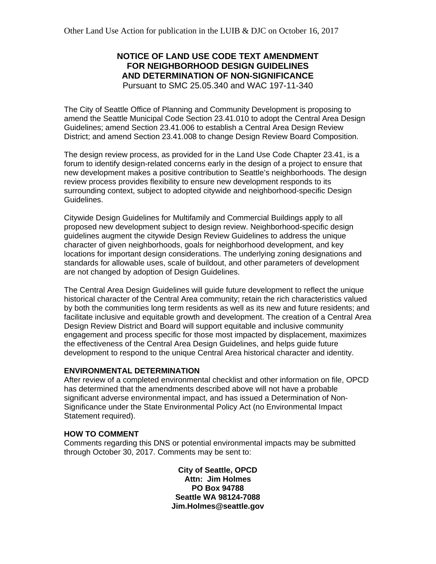# **NOTICE OF LAND USE CODE TEXT AMENDMENT FOR NEIGHBORHOOD DESIGN GUIDELINES AND DETERMINATION OF NON-SIGNIFICANCE** Pursuant to SMC 25.05.340 and WAC 197-11-340

The City of Seattle Office of Planning and Community Development is proposing to amend the Seattle Municipal Code Section 23.41.010 to adopt the Central Area Design Guidelines; amend Section 23.41.006 to establish a Central Area Design Review District; and amend Section 23.41.008 to change Design Review Board Composition.

The design review process, as provided for in the Land Use Code Chapter 23.41, is a forum to identify design-related concerns early in the design of a project to ensure that new development makes a positive contribution to Seattle's neighborhoods. The design review process provides flexibility to ensure new development responds to its surrounding context, subject to adopted citywide and neighborhood-specific Design Guidelines.

Citywide Design Guidelines for Multifamily and Commercial Buildings apply to all proposed new development subject to design review. Neighborhood-specific design guidelines augment the citywide Design Review Guidelines to address the unique character of given neighborhoods, goals for neighborhood development, and key locations for important design considerations. The underlying zoning designations and standards for allowable uses, scale of buildout, and other parameters of development are not changed by adoption of Design Guidelines.

The Central Area Design Guidelines will guide future development to reflect the unique historical character of the Central Area community; retain the rich characteristics valued by both the communities long term residents as well as its new and future residents; and facilitate inclusive and equitable growth and development. The creation of a Central Area Design Review District and Board will support equitable and inclusive community engagement and process specific for those most impacted by displacement, maximizes the effectiveness of the Central Area Design Guidelines, and helps guide future development to respond to the unique Central Area historical character and identity.

# **ENVIRONMENTAL DETERMINATION**

After review of a completed environmental checklist and other information on file, OPCD has determined that the amendments described above will not have a probable significant adverse environmental impact, and has issued a Determination of Non-Significance under the State Environmental Policy Act (no Environmental Impact Statement required).

#### **HOW TO COMMENT**

Comments regarding this DNS or potential environmental impacts may be submitted through October 30, 2017. Comments may be sent to:

> **City of Seattle, OPCD Attn: Jim Holmes PO Box 94788 Seattle WA 98124-7088 Jim.Holmes@seattle.gov**